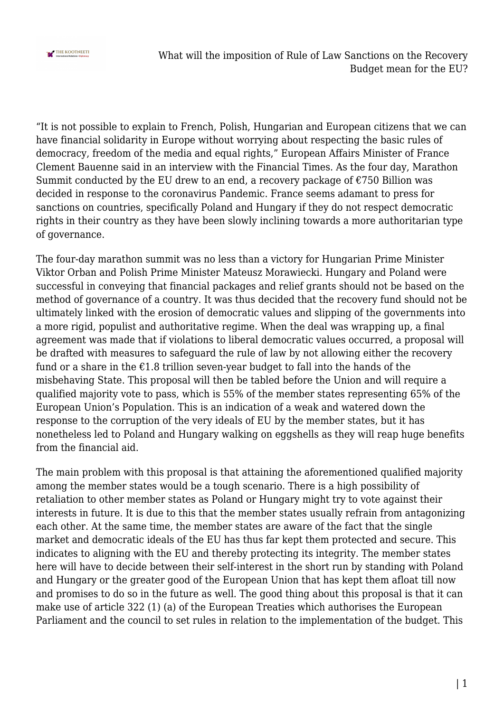

"It is not possible to explain to French, Polish, Hungarian and European citizens that we can have financial solidarity in Europe without worrying about respecting the basic rules of democracy, freedom of the media and equal rights," European Affairs Minister of France Clement Bauenne said in an interview with the Financial Times. As the four day, Marathon Summit conducted by the EU drew to an end, a recovery package of  $\epsilon$ 750 Billion was decided in response to the coronavirus Pandemic. France seems adamant to press for sanctions on countries, specifically Poland and Hungary if they do not respect democratic rights in their country as they have been slowly inclining towards a more authoritarian type of governance.

The four-day marathon summit was no less than a victory for Hungarian Prime Minister Viktor Orban and Polish Prime Minister Mateusz Morawiecki. Hungary and Poland were successful in conveying that financial packages and relief grants should not be based on the method of governance of a country. It was thus decided that the recovery fund should not be ultimately linked with the erosion of democratic values and slipping of the governments into a more rigid, populist and authoritative regime. When the deal was wrapping up, a final agreement was made that if violations to liberal democratic values occurred, a proposal will be drafted with measures to safeguard the rule of law by not allowing either the recovery fund or a share in the  $\epsilon$ 1.8 trillion seven-year budget to fall into the hands of the misbehaving State. This proposal will then be tabled before the Union and will require a qualified majority vote to pass, which is 55% of the member states representing 65% of the European Union's Population. This is an indication of a weak and watered down the response to the corruption of the very ideals of EU by the member states, but it has nonetheless led to Poland and Hungary walking on eggshells as they will reap huge benefits from the financial aid.

The main problem with this proposal is that attaining the aforementioned qualified majority among the member states would be a tough scenario. There is a high possibility of retaliation to other member states as Poland or Hungary might try to vote against their interests in future. It is due to this that the member states usually refrain from antagonizing each other. At the same time, the member states are aware of the fact that the single market and democratic ideals of the EU has thus far kept them protected and secure. This indicates to aligning with the EU and thereby protecting its integrity. The member states here will have to decide between their self-interest in the short run by standing with Poland and Hungary or the greater good of the European Union that has kept them afloat till now and promises to do so in the future as well. The good thing about this proposal is that it can make use of article 322 (1) (a) of the European Treaties which authorises the European Parliament and the council to set rules in relation to the implementation of the budget. This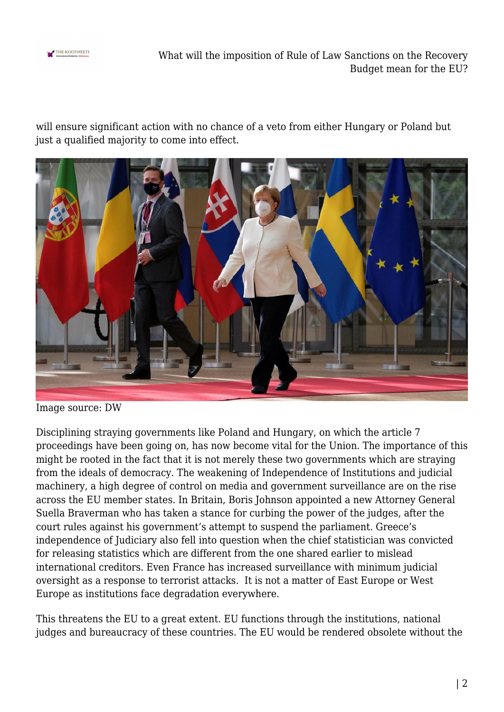

What will the imposition of Rule of Law Sanctions on the Recovery Budget mean for the EU?

will ensure significant action with no chance of a veto from either Hungary or Poland but just a qualified majority to come into effect.



Image source: DW

Disciplining straying governments like Poland and Hungary, on which the article 7 proceedings have been going on, has now become vital for the Union. The importance of this might be rooted in the fact that it is not merely these two governments which are straying from the ideals of democracy. The weakening of Independence of Institutions and judicial machinery, a high degree of control on media and government surveillance are on the rise across the EU member states. In Britain, Boris Johnson appointed a new Attorney General Suella Braverman who has taken a stance for curbing the power of the judges, after the court rules against his government's attempt to suspend the parliament. Greece's independence of Judiciary also fell into question when the chief statistician was convicted for releasing statistics which are different from the one shared earlier to mislead international creditors. Even France has increased surveillance with minimum judicial oversight as a response to terrorist attacks. It is not a matter of East Europe or West Europe as institutions face degradation everywhere.

This threatens the EU to a great extent. EU functions through the institutions, national judges and bureaucracy of these countries. The EU would be rendered obsolete without the